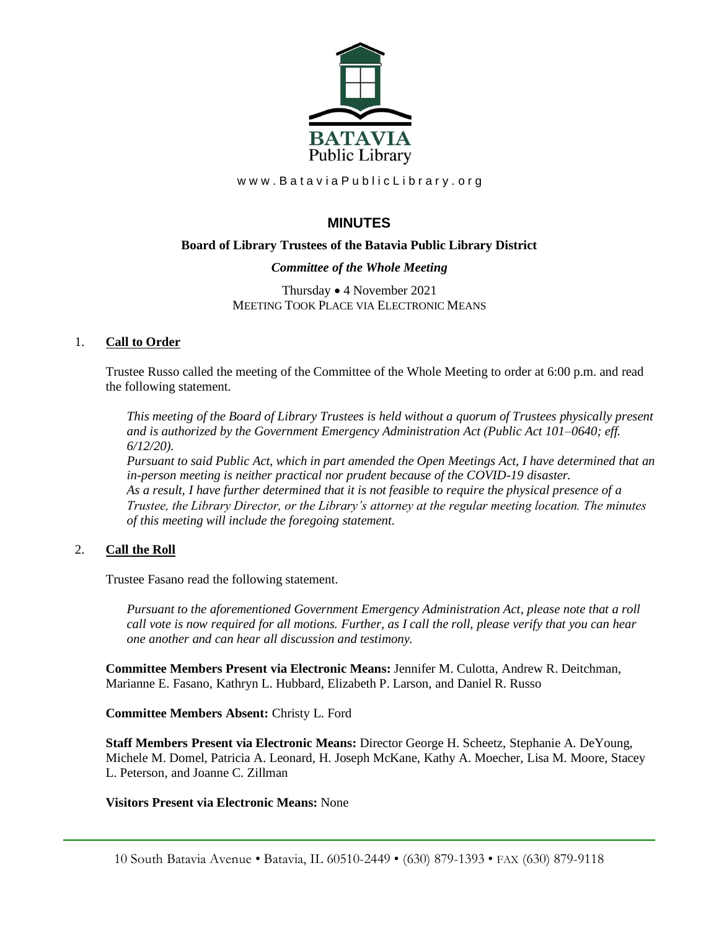

www.BataviaPublicLibrary.org

# **MINUTES**

# **Board of Library Trustees of the Batavia Public Library District**

# *Committee of the Whole Meeting*

Thursday • 4 November 2021 MEETING TOOK PLACE VIA ELECTRONIC MEANS

# 1. **Call to Order**

Trustee Russo called the meeting of the Committee of the Whole Meeting to order at 6:00 p.m. and read the following statement.

*This meeting of the Board of Library Trustees is held without a quorum of Trustees physically present and is authorized by the Government Emergency Administration Act (Public Act 101–0640; eff. 6/12/20).*

*Pursuant to said Public Act, which in part amended the Open Meetings Act, I have determined that an in-person meeting is neither practical nor prudent because of the COVID-19 disaster. As a result, I have further determined that it is not feasible to require the physical presence of a Trustee, the Library Director, or the Library's attorney at the regular meeting location. The minutes of this meeting will include the foregoing statement.*

# 2. **Call the Roll**

Trustee Fasano read the following statement.

*Pursuant to the aforementioned Government Emergency Administration Act, please note that a roll call vote is now required for all motions. Further, as I call the roll, please verify that you can hear one another and can hear all discussion and testimony.*

**Committee Members Present via Electronic Means:** Jennifer M. Culotta, Andrew R. Deitchman, Marianne E. Fasano, Kathryn L. Hubbard, Elizabeth P. Larson, and Daniel R. Russo

### **Committee Members Absent:** Christy L. Ford

**Staff Members Present via Electronic Means:** Director George H. Scheetz, Stephanie A. DeYoung, Michele M. Domel, Patricia A. Leonard, H. Joseph McKane, Kathy A. Moecher, Lisa M. Moore, Stacey L. Peterson, and Joanne C. Zillman

# **Visitors Present via Electronic Means:** None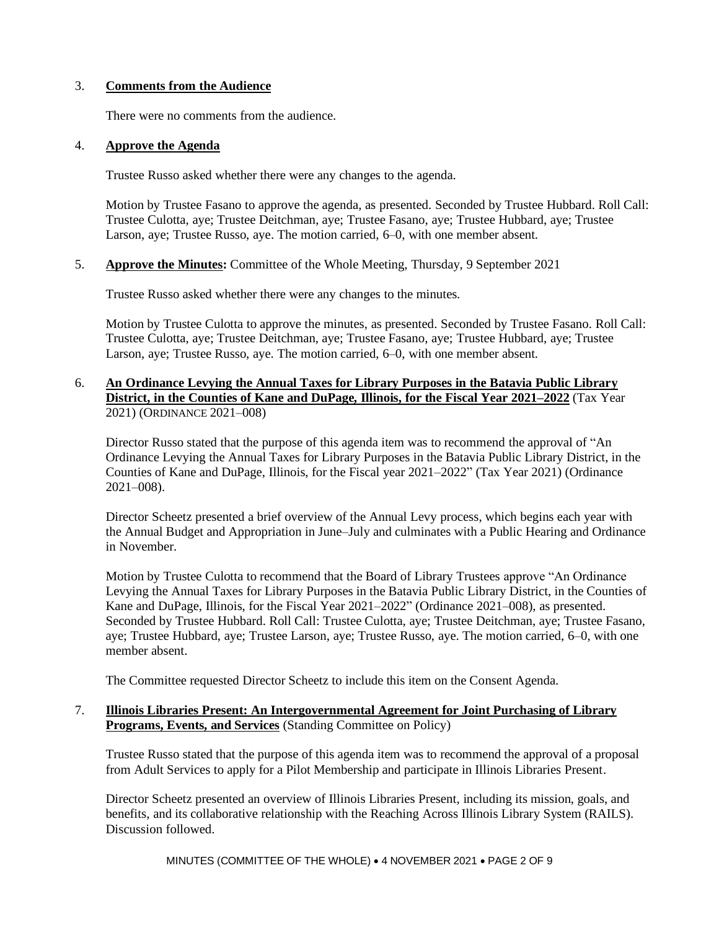### 3. **Comments from the Audience**

There were no comments from the audience.

### 4. **Approve the Agenda**

Trustee Russo asked whether there were any changes to the agenda.

Motion by Trustee Fasano to approve the agenda, as presented. Seconded by Trustee Hubbard. Roll Call: Trustee Culotta, aye; Trustee Deitchman, aye; Trustee Fasano, aye; Trustee Hubbard, aye; Trustee Larson, aye; Trustee Russo, aye. The motion carried, 6–0, with one member absent.

5. **Approve the Minutes:** Committee of the Whole Meeting, Thursday, 9 September 2021

Trustee Russo asked whether there were any changes to the minutes.

Motion by Trustee Culotta to approve the minutes, as presented. Seconded by Trustee Fasano. Roll Call: Trustee Culotta, aye; Trustee Deitchman, aye; Trustee Fasano, aye; Trustee Hubbard, aye; Trustee Larson, aye; Trustee Russo, aye. The motion carried, 6–0, with one member absent.

6. **An Ordinance Levying the Annual Taxes for Library Purposes in the Batavia Public Library District, in the Counties of Kane and DuPage, Illinois, for the Fiscal Year 2021–2022** (Tax Year 2021) (ORDINANCE 2021–008)

Director Russo stated that the purpose of this agenda item was to recommend the approval of "An Ordinance Levying the Annual Taxes for Library Purposes in the Batavia Public Library District, in the Counties of Kane and DuPage, Illinois, for the Fiscal year 2021–2022" (Tax Year 2021) (Ordinance 2021–008).

Director Scheetz presented a brief overview of the Annual Levy process, which begins each year with the Annual Budget and Appropriation in June–July and culminates with a Public Hearing and Ordinance in November.

Motion by Trustee Culotta to recommend that the Board of Library Trustees approve "An Ordinance Levying the Annual Taxes for Library Purposes in the Batavia Public Library District, in the Counties of Kane and DuPage, Illinois, for the Fiscal Year 2021–2022" (Ordinance 2021–008), as presented. Seconded by Trustee Hubbard. Roll Call: Trustee Culotta, aye; Trustee Deitchman, aye; Trustee Fasano, aye; Trustee Hubbard, aye; Trustee Larson, aye; Trustee Russo, aye. The motion carried, 6–0, with one member absent.

The Committee requested Director Scheetz to include this item on the Consent Agenda.

### 7. **Illinois Libraries Present: An Intergovernmental Agreement for Joint Purchasing of Library Programs, Events, and Services** (Standing Committee on Policy)

Trustee Russo stated that the purpose of this agenda item was to recommend the approval of a proposal from Adult Services to apply for a Pilot Membership and participate in Illinois Libraries Present.

Director Scheetz presented an overview of Illinois Libraries Present, including its mission, goals, and benefits, and its collaborative relationship with the Reaching Across Illinois Library System (RAILS). Discussion followed.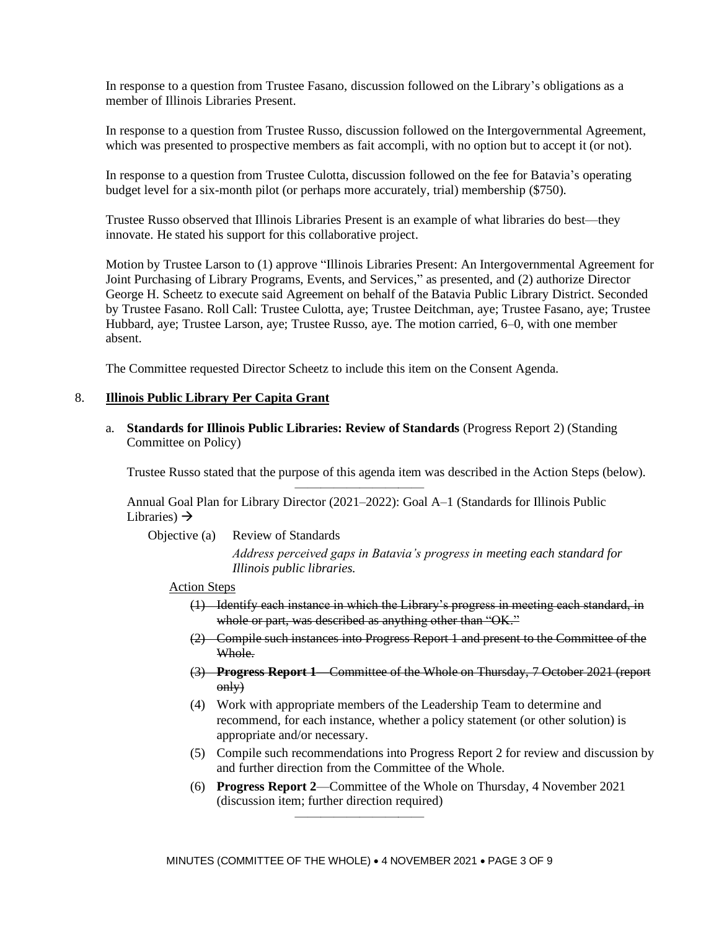In response to a question from Trustee Fasano, discussion followed on the Library's obligations as a member of Illinois Libraries Present.

In response to a question from Trustee Russo, discussion followed on the Intergovernmental Agreement, which was presented to prospective members as fait accompli, with no option but to accept it (or not).

In response to a question from Trustee Culotta, discussion followed on the fee for Batavia's operating budget level for a six-month pilot (or perhaps more accurately, trial) membership (\$750).

Trustee Russo observed that Illinois Libraries Present is an example of what libraries do best—they innovate. He stated his support for this collaborative project.

Motion by Trustee Larson to (1) approve "Illinois Libraries Present: An Intergovernmental Agreement for Joint Purchasing of Library Programs, Events, and Services," as presented, and (2) authorize Director George H. Scheetz to execute said Agreement on behalf of the Batavia Public Library District. Seconded by Trustee Fasano. Roll Call: Trustee Culotta, aye; Trustee Deitchman, aye; Trustee Fasano, aye; Trustee Hubbard, aye; Trustee Larson, aye; Trustee Russo, aye. The motion carried, 6–0, with one member absent.

The Committee requested Director Scheetz to include this item on the Consent Agenda.

#### 8. **Illinois Public Library Per Capita Grant**

a. **Standards for Illinois Public Libraries: Review of Standards** (Progress Report 2) (Standing Committee on Policy)

Trustee Russo stated that the purpose of this agenda item was described in the Action Steps (below).

Annual Goal Plan for Library Director (2021–2022): Goal A–1 (Standards for Illinois Public Libraries)  $\rightarrow$ 

——————————

Objective (a) Review of Standards

*Address perceived gaps in Batavia's progress in meeting each standard for Illinois public libraries.*

#### Action Steps

- (1) Identify each instance in which the Library's progress in meeting each standard, in whole or part, was described as anything other than "OK."
- (2) Compile such instances into Progress Report 1 and present to the Committee of the Whole.
- (3) **Progress Report 1**—Committee of the Whole on Thursday, 7 October 2021 (report  $\overrightarrow{0}$
- (4) Work with appropriate members of the Leadership Team to determine and recommend, for each instance, whether a policy statement (or other solution) is appropriate and/or necessary.
- (5) Compile such recommendations into Progress Report 2 for review and discussion by and further direction from the Committee of the Whole.
- (6) **Progress Report 2**—Committee of the Whole on Thursday, 4 November 2021 (discussion item; further direction required)

——————————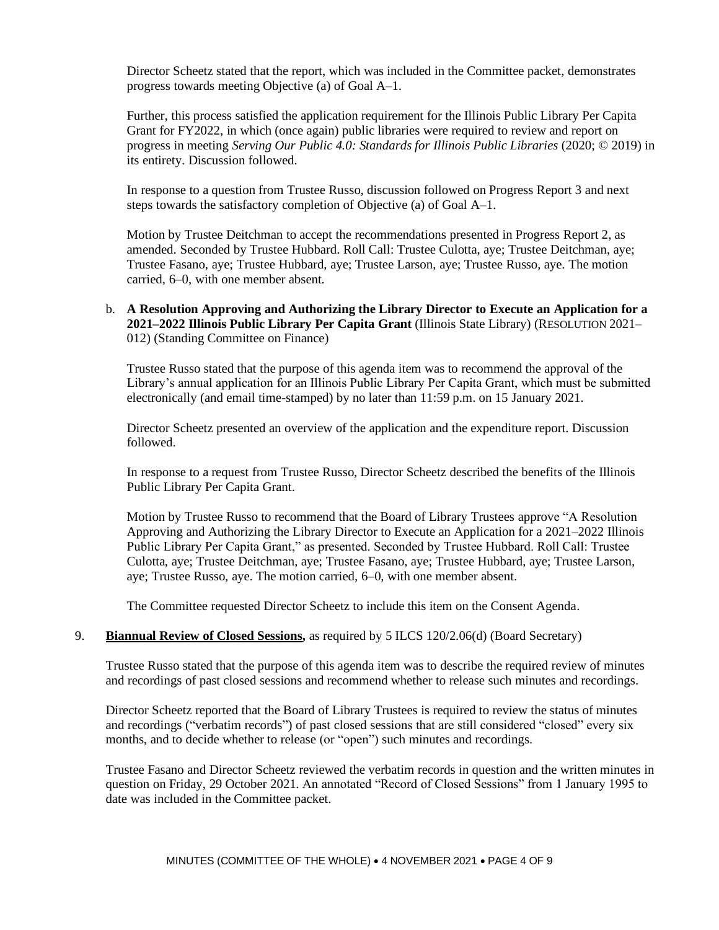Director Scheetz stated that the report, which was included in the Committee packet, demonstrates progress towards meeting Objective (a) of Goal A–1.

Further, this process satisfied the application requirement for the Illinois Public Library Per Capita Grant for FY2022, in which (once again) public libraries were required to review and report on progress in meeting *Serving Our Public 4.0: Standards for Illinois Public Libraries* (2020; © 2019) in its entirety. Discussion followed.

In response to a question from Trustee Russo, discussion followed on Progress Report 3 and next steps towards the satisfactory completion of Objective (a) of Goal A–1.

Motion by Trustee Deitchman to accept the recommendations presented in Progress Report 2, as amended. Seconded by Trustee Hubbard. Roll Call: Trustee Culotta, aye; Trustee Deitchman, aye; Trustee Fasano, aye; Trustee Hubbard, aye; Trustee Larson, aye; Trustee Russo, aye. The motion carried, 6–0, with one member absent.

# b. **A Resolution Approving and Authorizing the Library Director to Execute an Application for a 2021–2022 Illinois Public Library Per Capita Grant** (Illinois State Library) (RESOLUTION 2021– 012) (Standing Committee on Finance)

Trustee Russo stated that the purpose of this agenda item was to recommend the approval of the Library's annual application for an Illinois Public Library Per Capita Grant, which must be submitted electronically (and email time-stamped) by no later than 11:59 p.m. on 15 January 2021.

Director Scheetz presented an overview of the application and the expenditure report. Discussion followed.

In response to a request from Trustee Russo, Director Scheetz described the benefits of the Illinois Public Library Per Capita Grant.

Motion by Trustee Russo to recommend that the Board of Library Trustees approve "A Resolution Approving and Authorizing the Library Director to Execute an Application for a 2021–2022 Illinois Public Library Per Capita Grant," as presented. Seconded by Trustee Hubbard. Roll Call: Trustee Culotta, aye; Trustee Deitchman, aye; Trustee Fasano, aye; Trustee Hubbard, aye; Trustee Larson, aye; Trustee Russo, aye. The motion carried, 6–0, with one member absent.

The Committee requested Director Scheetz to include this item on the Consent Agenda.

#### 9. **Biannual Review of Closed Sessions,** as required by 5 ILCS 120/2.06(d) (Board Secretary)

Trustee Russo stated that the purpose of this agenda item was to describe the required review of minutes and recordings of past closed sessions and recommend whether to release such minutes and recordings.

Director Scheetz reported that the Board of Library Trustees is required to review the status of minutes and recordings ("verbatim records") of past closed sessions that are still considered "closed" every six months, and to decide whether to release (or "open") such minutes and recordings.

Trustee Fasano and Director Scheetz reviewed the verbatim records in question and the written minutes in question on Friday, 29 October 2021. An annotated "Record of Closed Sessions" from 1 January 1995 to date was included in the Committee packet.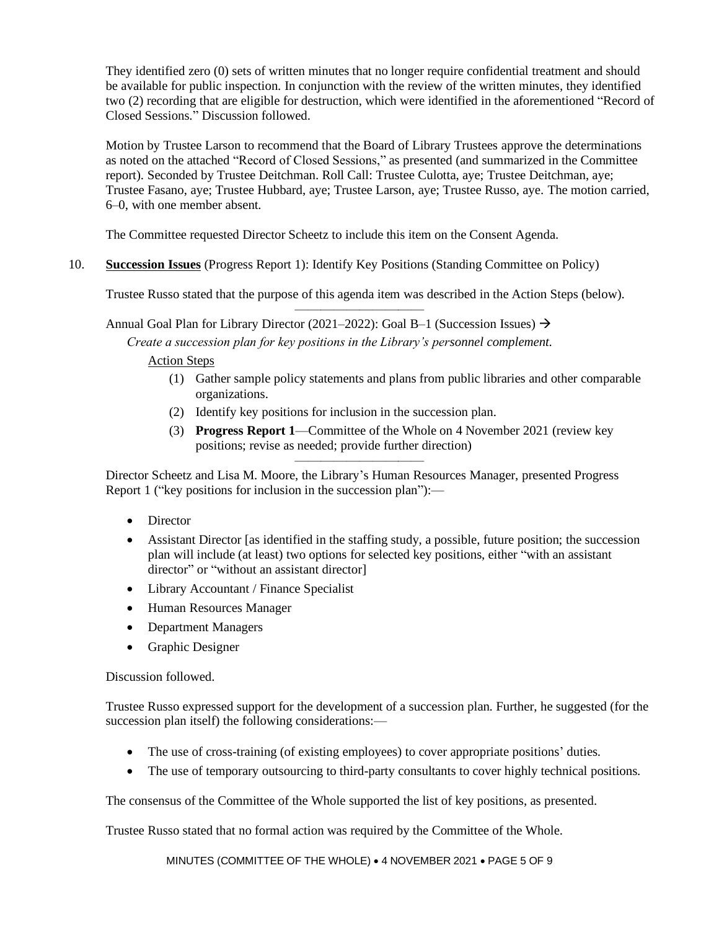They identified zero (0) sets of written minutes that no longer require confidential treatment and should be available for public inspection. In conjunction with the review of the written minutes, they identified two (2) recording that are eligible for destruction, which were identified in the aforementioned "Record of Closed Sessions." Discussion followed.

Motion by Trustee Larson to recommend that the Board of Library Trustees approve the determinations as noted on the attached "Record of Closed Sessions," as presented (and summarized in the Committee report). Seconded by Trustee Deitchman. Roll Call: Trustee Culotta, aye; Trustee Deitchman, aye; Trustee Fasano, aye; Trustee Hubbard, aye; Trustee Larson, aye; Trustee Russo, aye. The motion carried, 6–0, with one member absent.

The Committee requested Director Scheetz to include this item on the Consent Agenda.

10. **Succession Issues** (Progress Report 1): Identify Key Positions (Standing Committee on Policy)

Trustee Russo stated that the purpose of this agenda item was described in the Action Steps (below). ——————————

Annual Goal Plan for Library Director (2021–2022): Goal B–1 (Succession Issues)  $\rightarrow$ 

*Create a succession plan for key positions in the Library's personnel complement.*

Action Steps

- (1) Gather sample policy statements and plans from public libraries and other comparable organizations.
- (2) Identify key positions for inclusion in the succession plan.
- (3) **Progress Report 1**—Committee of the Whole on 4 November 2021 (review key positions; revise as needed; provide further direction)

—————————— Director Scheetz and Lisa M. Moore, the Library's Human Resources Manager, presented Progress Report 1 ("key positions for inclusion in the succession plan"):—

- Director
- Assistant Director [as identified in the staffing study, a possible, future position; the succession plan will include (at least) two options for selected key positions, either "with an assistant director" or "without an assistant director]
- Library Accountant / Finance Specialist
- Human Resources Manager
- Department Managers
- Graphic Designer

Discussion followed.

Trustee Russo expressed support for the development of a succession plan. Further, he suggested (for the succession plan itself) the following considerations:—

- The use of cross-training (of existing employees) to cover appropriate positions' duties.
- The use of temporary outsourcing to third-party consultants to cover highly technical positions.

The consensus of the Committee of the Whole supported the list of key positions, as presented.

Trustee Russo stated that no formal action was required by the Committee of the Whole.

MINUTES (COMMITTEE OF THE WHOLE) • 4 NOVEMBER 2021 • PAGE 5 OF 9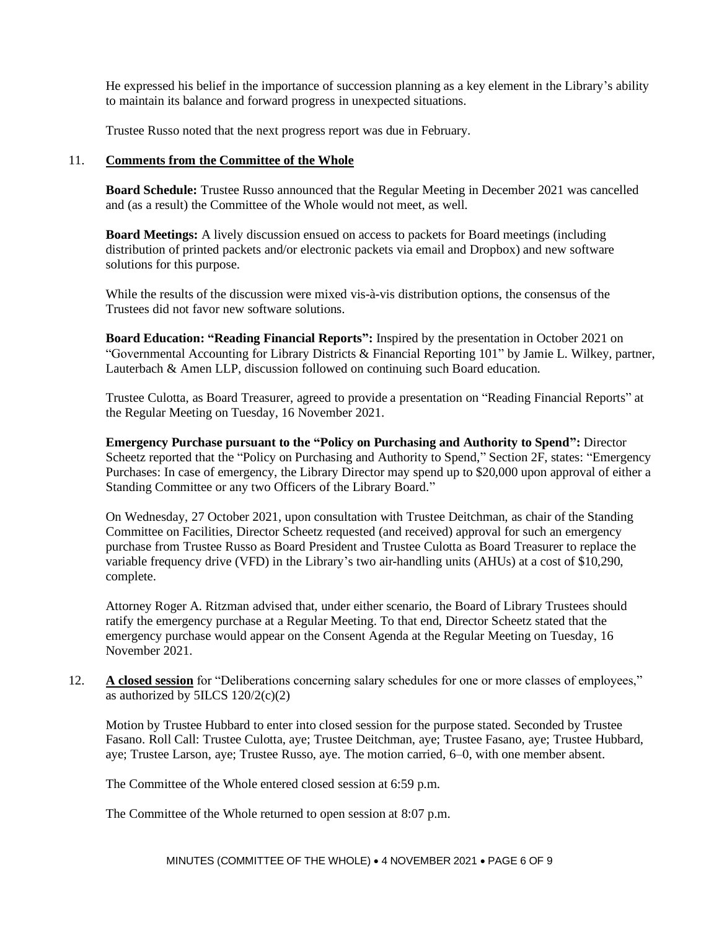He expressed his belief in the importance of succession planning as a key element in the Library's ability to maintain its balance and forward progress in unexpected situations.

Trustee Russo noted that the next progress report was due in February.

# 11. **Comments from the Committee of the Whole**

**Board Schedule:** Trustee Russo announced that the Regular Meeting in December 2021 was cancelled and (as a result) the Committee of the Whole would not meet, as well.

**Board Meetings:** A lively discussion ensued on access to packets for Board meetings (including distribution of printed packets and/or electronic packets via email and Dropbox) and new software solutions for this purpose.

While the results of the discussion were mixed vis-à-vis distribution options, the consensus of the Trustees did not favor new software solutions.

**Board Education: "Reading Financial Reports":** Inspired by the presentation in October 2021 on "Governmental Accounting for Library Districts & Financial Reporting 101" by Jamie L. Wilkey, partner, Lauterbach & Amen LLP, discussion followed on continuing such Board education.

Trustee Culotta, as Board Treasurer, agreed to provide a presentation on "Reading Financial Reports" at the Regular Meeting on Tuesday, 16 November 2021.

**Emergency Purchase pursuant to the "Policy on Purchasing and Authority to Spend":** Director Scheetz reported that the "Policy on Purchasing and Authority to Spend," Section 2F, states: "Emergency Purchases: In case of emergency, the Library Director may spend up to \$20,000 upon approval of either a Standing Committee or any two Officers of the Library Board."

On Wednesday, 27 October 2021, upon consultation with Trustee Deitchman, as chair of the Standing Committee on Facilities, Director Scheetz requested (and received) approval for such an emergency purchase from Trustee Russo as Board President and Trustee Culotta as Board Treasurer to replace the variable frequency drive (VFD) in the Library's two air-handling units (AHUs) at a cost of \$10,290, complete.

Attorney Roger A. Ritzman advised that, under either scenario, the Board of Library Trustees should ratify the emergency purchase at a Regular Meeting. To that end, Director Scheetz stated that the emergency purchase would appear on the Consent Agenda at the Regular Meeting on Tuesday, 16 November 2021.

12. **A closed session** for "Deliberations concerning salary schedules for one or more classes of employees," as authorized by  $5ILCS 120/2(c)(2)$ 

Motion by Trustee Hubbard to enter into closed session for the purpose stated. Seconded by Trustee Fasano. Roll Call: Trustee Culotta, aye; Trustee Deitchman, aye; Trustee Fasano, aye; Trustee Hubbard, aye; Trustee Larson, aye; Trustee Russo, aye. The motion carried, 6–0, with one member absent.

The Committee of the Whole entered closed session at 6:59 p.m.

The Committee of the Whole returned to open session at 8:07 p.m.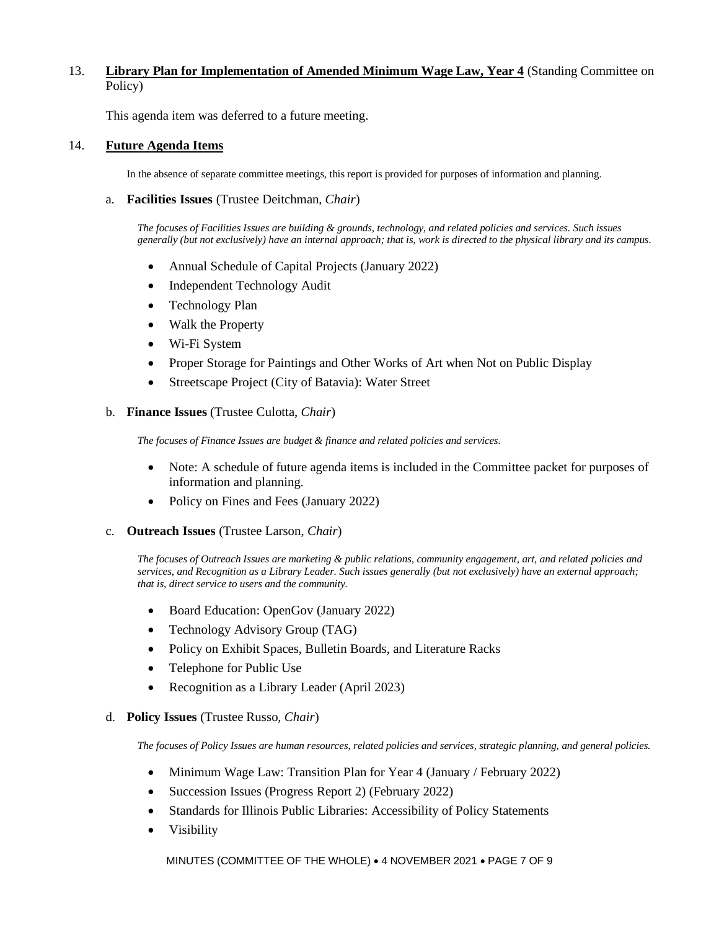# 13. **Library Plan for Implementation of Amended Minimum Wage Law, Year 4** (Standing Committee on Policy)

This agenda item was deferred to a future meeting.

### 14. **Future Agenda Items**

In the absence of separate committee meetings, this report is provided for purposes of information and planning.

a. **Facilities Issues** (Trustee Deitchman, *Chair*)

*The focuses of Facilities Issues are building & grounds, technology, and related policies and services. Such issues generally (but not exclusively) have an internal approach; that is, work is directed to the physical library and its campus.*

- Annual Schedule of Capital Projects (January 2022)
- Independent Technology Audit
- Technology Plan
- Walk the Property
- Wi-Fi System
- Proper Storage for Paintings and Other Works of Art when Not on Public Display
- Streetscape Project (City of Batavia): Water Street

#### b. **Finance Issues** (Trustee Culotta, *Chair*)

*The focuses of Finance Issues are budget & finance and related policies and services.*

- Note: A schedule of future agenda items is included in the Committee packet for purposes of information and planning.
- Policy on Fines and Fees (January 2022)
- c. **Outreach Issues** (Trustee Larson, *Chair*)

*The focuses of Outreach Issues are marketing & public relations, community engagement, art, and related policies and services, and Recognition as a Library Leader. Such issues generally (but not exclusively) have an external approach; that is, direct service to users and the community.*

- Board Education: OpenGov (January 2022)
- Technology Advisory Group (TAG)
- Policy on Exhibit Spaces, Bulletin Boards, and Literature Racks
- Telephone for Public Use
- Recognition as a Library Leader (April 2023)

#### d. **Policy Issues** (Trustee Russo, *Chair*)

*The focuses of Policy Issues are human resources, related policies and services, strategic planning, and general policies.*

- Minimum Wage Law: Transition Plan for Year 4 (January / February 2022)
- Succession Issues (Progress Report 2) (February 2022)
- Standards for Illinois Public Libraries: Accessibility of Policy Statements
- Visibility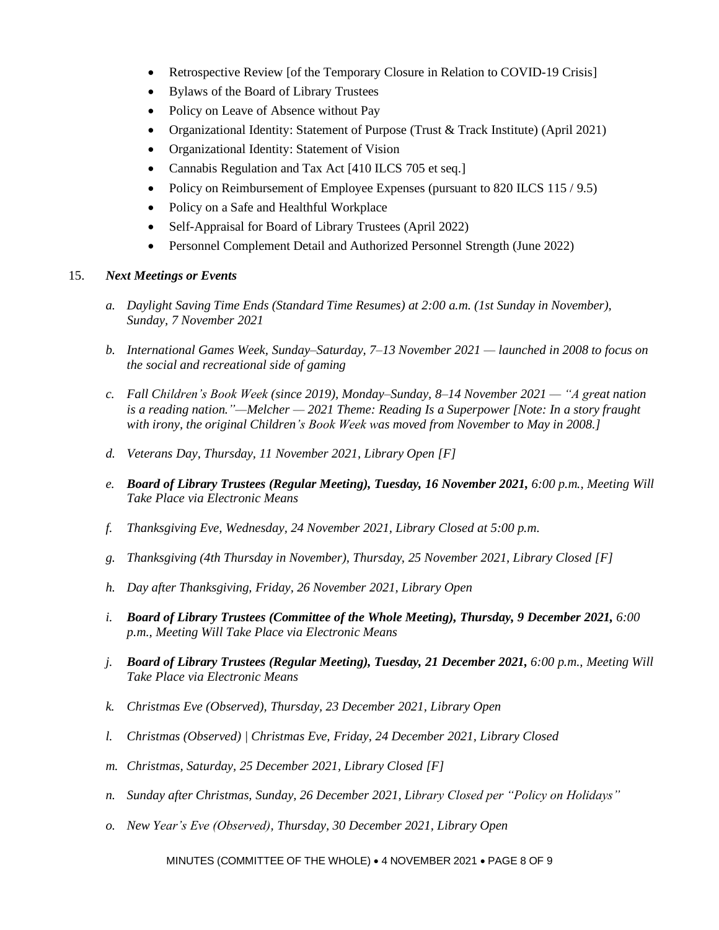- Retrospective Review [of the Temporary Closure in Relation to COVID-19 Crisis]
- Bylaws of the Board of Library Trustees
- Policy on Leave of Absence without Pay
- Organizational Identity: Statement of Purpose (Trust & Track Institute) (April 2021)
- Organizational Identity: Statement of Vision
- Cannabis Regulation and Tax Act [410 ILCS 705 et seq.]
- Policy on Reimbursement of Employee Expenses (pursuant to 820 ILCS 115/9.5)
- Policy on a Safe and Healthful Workplace
- Self-Appraisal for Board of Library Trustees (April 2022)
- Personnel Complement Detail and Authorized Personnel Strength (June 2022)

# 15. *Next Meetings or Events*

- *a. Daylight Saving Time Ends (Standard Time Resumes) at 2:00 a.m. (1st Sunday in November), Sunday, 7 November 2021*
- *b. International Games Week, Sunday–Saturday, 7–13 November 2021 — launched in 2008 to focus on the social and recreational side of gaming*
- *c. Fall Children's Book Week (since 2019), Monday–Sunday, 8–14 November 2021 — "A great nation is a reading nation."—Melcher — 2021 Theme: Reading Is a Superpower [Note: In a story fraught with irony, the original Children's Book Week was moved from November to May in 2008.]*
- *d. Veterans Day, Thursday, 11 November 2021, Library Open [F]*
- *e. Board of Library Trustees (Regular Meeting), Tuesday, 16 November 2021, 6:00 p.m., Meeting Will Take Place via Electronic Means*
- *f. Thanksgiving Eve, Wednesday, 24 November 2021, Library Closed at 5:00 p.m.*
- *g. Thanksgiving (4th Thursday in November), Thursday, 25 November 2021, Library Closed [F]*
- *h. Day after Thanksgiving, Friday, 26 November 2021, Library Open*
- *i. Board of Library Trustees (Committee of the Whole Meeting), Thursday, 9 December 2021, 6:00 p.m., Meeting Will Take Place via Electronic Means*
- *j. Board of Library Trustees (Regular Meeting), Tuesday, 21 December 2021, 6:00 p.m., Meeting Will Take Place via Electronic Means*
- *k. Christmas Eve (Observed), Thursday, 23 December 2021, Library Open*
- *l. Christmas (Observed) | Christmas Eve, Friday, 24 December 2021, Library Closed*
- *m. Christmas, Saturday, 25 December 2021, Library Closed [F]*
- *n. Sunday after Christmas, Sunday, 26 December 2021, Library Closed per "Policy on Holidays"*
- *o. New Year's Eve (Observed), Thursday, 30 December 2021, Library Open*